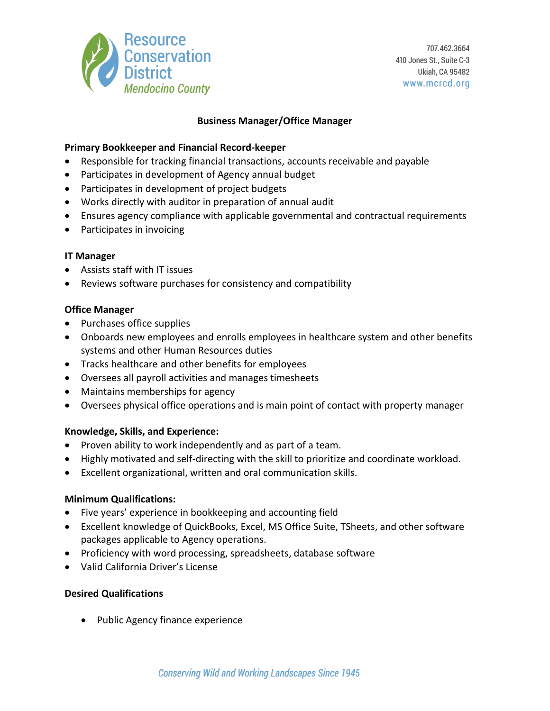

# **Business Manager/Office Manager**

## **Primary Bookkeeper and Financial Record-keeper**

- Responsible for tracking financial transactions, accounts receivable and payable
- Participates in development of Agency annual budget
- Participates in development of project budgets
- Works directly with auditor in preparation of annual audit
- Ensures agency compliance with applicable governmental and contractual requirements
- Participates in invoicing

#### **IT Manager**

- Assists staff with IT issues
- Reviews software purchases for consistency and compatibility

#### **Office Manager**

- Purchases office supplies
- Onboards new employees and enrolls employees in healthcare system and other benefits systems and other Human Resources duties
- Tracks healthcare and other benefits for employees
- Oversees all payroll activities and manages timesheets
- Maintains memberships for agency
- Oversees physical office operations and is main point of contact with property manager

### **Knowledge, Skills, and Experience:**

- Proven ability to work independently and as part of a team.
- Highly motivated and self-directing with the skill to prioritize and coordinate workload.
- Excellent organizational, written and oral communication skills.

### **Minimum Qualifications:**

- Five years' experience in bookkeeping and accounting field
- Excellent knowledge of QuickBooks, Excel, MS Office Suite, TSheets, and other software packages applicable to Agency operations.
- Proficiency with word processing, spreadsheets, database software
- Valid California Driver's License

### **Desired Qualifications**

• Public Agency finance experience